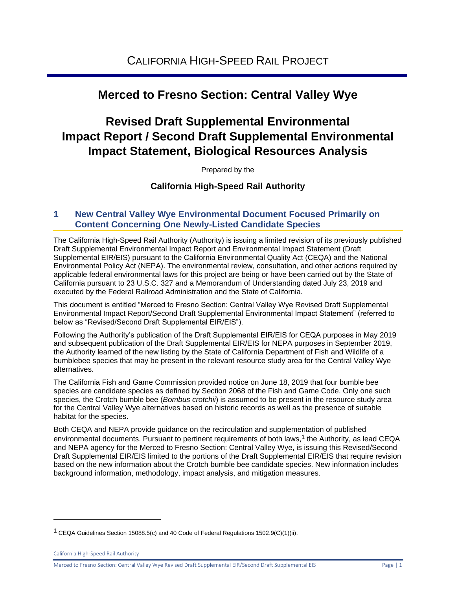# **Merced to Fresno Section: Central Valley Wye**

# **Revised Draft Supplemental Environmental Impact Report / Second Draft Supplemental Environmental Impact Statement, Biological Resources Analysis**

Prepared by the

## **California High-Speed Rail Authority**

### **1 New Central Valley Wye Environmental Document Focused Primarily on Content Concerning One Newly-Listed Candidate Species**

The California High-Speed Rail Authority (Authority) is issuing a limited revision of its previously published Draft Supplemental Environmental Impact Report and Environmental Impact Statement (Draft Supplemental EIR/EIS) pursuant to the California Environmental Quality Act (CEQA) and the National Environmental Policy Act (NEPA). The environmental review, consultation, and other actions required by applicable federal environmental laws for this project are being or have been carried out by the State of California pursuant to 23 U.S.C. 327 and a Memorandum of Understanding dated July 23, 2019 and executed by the Federal Railroad Administration and the State of California.

This document is entitled "Merced to Fresno Section: Central Valley Wye Revised Draft Supplemental Environmental Impact Report/Second Draft Supplemental Environmental Impact Statement" (referred to below as "Revised/Second Draft Supplemental EIR/EIS").

Following the Authority's publication of the Draft Supplemental EIR/EIS for CEQA purposes in May 2019 and subsequent publication of the Draft Supplemental EIR/EIS for NEPA purposes in September 2019, the Authority learned of the new listing by the State of California Department of Fish and Wildlife of a bumblebee species that may be present in the relevant resource study area for the Central Valley Wye alternatives.

The California Fish and Game Commission provided notice on June 18, 2019 that four bumble bee species are candidate species as defined by Section 2068 of the Fish and Game Code. Only one such species, the Crotch bumble bee (*Bombus crotchii*) is assumed to be present in the resource study area for the Central Valley Wye alternatives based on historic records as well as the presence of suitable habitat for the species.

Both CEQA and NEPA provide guidance on the recirculation and supplementation of published environmental documents. Pursuant to pertinent requirements of both laws,<sup>1</sup> the Authority, as lead CEQA and NEPA agency for the Merced to Fresno Section: Central Valley Wye, is issuing this Revised/Second Draft Supplemental EIR/EIS limited to the portions of the Draft Supplemental EIR/EIS that require revision based on the new information about the Crotch bumble bee candidate species. New information includes background information, methodology, impact analysis, and mitigation measures.

<sup>&</sup>lt;sup>1</sup> CEQA Guidelines Section 15088.5(c) and 40 Code of Federal Regulations 1502.9(C)(1)(ii).

California High-Speed Rail Authority

Merced to Fresno Section: Central Valley Wye Revised Draft Supplemental EIR/Second Draft Supplemental EIS Page | 1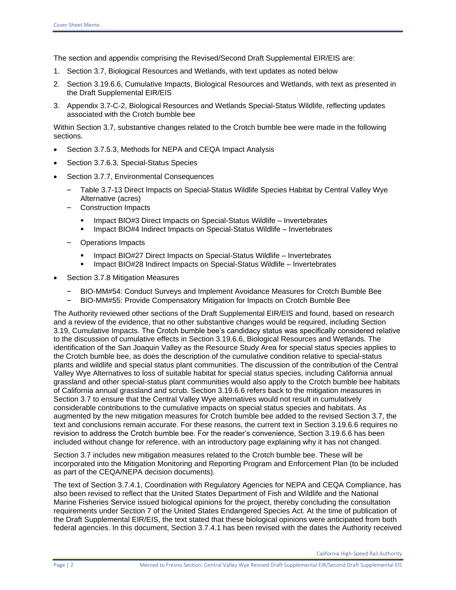The section and appendix comprising the Revised/Second Draft Supplemental EIR/EIS are:

- 1. Section 3.7, Biological Resources and Wetlands, with text updates as noted below
- 2. Section 3.19.6.6, Cumulative Impacts, Biological Resources and Wetlands, with text as presented in the Draft Supplemental EIR/EIS
- 3. Appendix 3.7-C-2, Biological Resources and Wetlands Special-Status Wildlife, reflecting updates associated with the Crotch bumble bee

Within Section 3.7, substantive changes related to the Crotch bumble bee were made in the following sections.

- Section 3.7.5.3, Methods for NEPA and CEQA Impact Analysis
- Section 3.7.6.3, Special-Status Species
- Section 3.7.7, Environmental Consequences
	- Table 3.7-13 Direct Impacts on Special-Status Wildlife Species Habitat by Central Valley Wye Alternative (acres)
	- Construction Impacts
		- Impact BIO#3 Direct Impacts on Special-Status Wildlife Invertebrates
		- Impact BIO#4 Indirect Impacts on Special-Status Wildlife Invertebrates
	- Operations Impacts
		- Impact BIO#27 Direct Impacts on Special-Status Wildlife Invertebrates
		- **Impact BIO#28 Indirect Impacts on Special-Status Wildlife Invertebrates**
- Section 3.7.8 Mitigation Measures
	- BIO-MM#54: Conduct Surveys and Implement Avoidance Measures for Crotch Bumble Bee
	- BIO-MM#55: Provide Compensatory Mitigation for Impacts on Crotch Bumble Bee

The Authority reviewed other sections of the Draft Supplemental EIR/EIS and found, based on research and a review of the evidence, that no other substantive changes would be required, including Section 3.19, Cumulative Impacts. The Crotch bumble bee's candidacy status was specifically considered relative to the discussion of cumulative effects in Section 3.19.6.6, Biological Resources and Wetlands. The identification of the San Joaquin Valley as the Resource Study Area for special status species applies to the Crotch bumble bee, as does the description of the cumulative condition relative to special-status plants and wildlife and special status plant communities. The discussion of the contribution of the Central Valley Wye Alternatives to loss of suitable habitat for special status species, including California annual grassland and other special-status plant communities would also apply to the Crotch bumble bee habitats of California annual grassland and scrub. Section 3.19.6.6 refers back to the mitigation measures in Section 3.7 to ensure that the Central Valley Wye alternatives would not result in cumulatively considerable contributions to the cumulative impacts on special status species and habitats. As augmented by the new mitigation measures for Crotch bumble bee added to the revised Section 3.7, the text and conclusions remain accurate. For these reasons, the current text in Section 3.19.6.6 requires no revision to address the Crotch bumble bee. For the reader's convenience, Section 3.19.6.6 has been included without change for reference, with an introductory page explaining why it has not changed.

Section 3.7 includes new mitigation measures related to the Crotch bumble bee. These will be incorporated into the Mitigation Monitoring and Reporting Program and Enforcement Plan (to be included as part of the CEQA/NEPA decision documents).

The text of Section 3.7.4.1, Coordination with Regulatory Agencies for NEPA and CEQA Compliance, has also been revised to reflect that the United States Department of Fish and Wildlife and the National Marine Fisheries Service issued biological opinions for the project, thereby concluding the consultation requirements under Section 7 of the United States Endangered Species Act. At the time of publication of the Draft Supplemental EIR/EIS, the text stated that these biological opinions were anticipated from both federal agencies. In this document, Section 3.7.4.1 has been revised with the dates the Authority received

California High-Speed Rail Authority